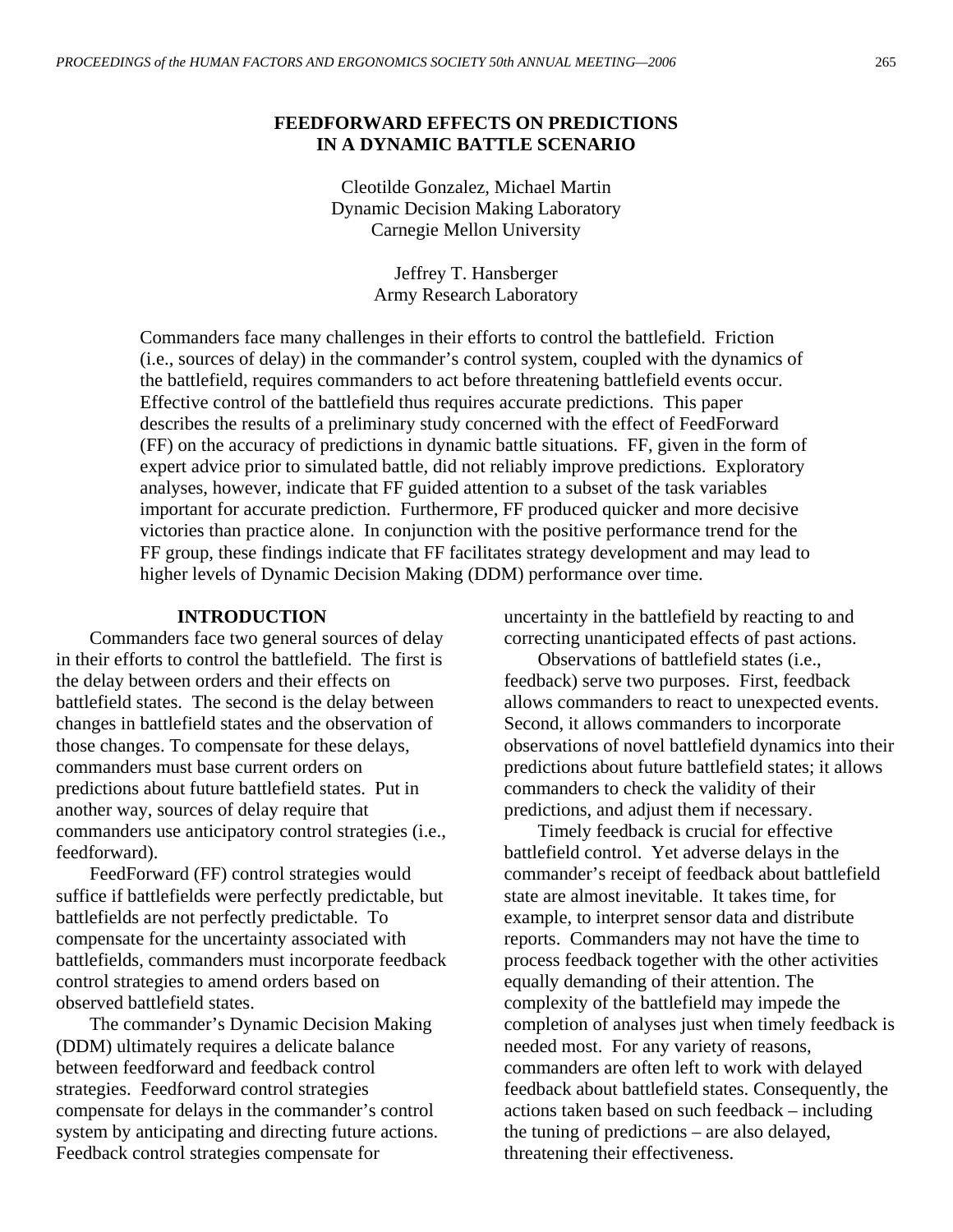# **FEEDFORWARD EFFECTS ON PREDICTIONS IN A DYNAMIC BATTLE SCENARIO**

Cleotilde Gonzalez, Michael Martin Dynamic Decision Making Laboratory Carnegie Mellon University

> Jeffrey T. Hansberger Army Research Laboratory

Commanders face many challenges in their efforts to control the battlefield. Friction (i.e., sources of delay) in the commander's control system, coupled with the dynamics of the battlefield, requires commanders to act before threatening battlefield events occur. Effective control of the battlefield thus requires accurate predictions. This paper describes the results of a preliminary study concerned with the effect of FeedForward (FF) on the accuracy of predictions in dynamic battle situations. FF, given in the form of expert advice prior to simulated battle, did not reliably improve predictions. Exploratory analyses, however, indicate that FF guided attention to a subset of the task variables important for accurate prediction. Furthermore, FF produced quicker and more decisive victories than practice alone. In conjunction with the positive performance trend for the FF group, these findings indicate that FF facilitates strategy development and may lead to higher levels of Dynamic Decision Making (DDM) performance over time.

#### **INTRODUCTION**

Commanders face two general sources of delay in their efforts to control the battlefield. The first is the delay between orders and their effects on battlefield states. The second is the delay between changes in battlefield states and the observation of those changes. To compensate for these delays, commanders must base current orders on predictions about future battlefield states. Put in another way, sources of delay require that commanders use anticipatory control strategies (i.e., feedforward).

FeedForward (FF) control strategies would suffice if battlefields were perfectly predictable, but battlefields are not perfectly predictable. To compensate for the uncertainty associated with battlefields, commanders must incorporate feedback control strategies to amend orders based on observed battlefield states.

The commander's Dynamic Decision Making (DDM) ultimately requires a delicate balance between feedforward and feedback control strategies. Feedforward control strategies compensate for delays in the commander's control system by anticipating and directing future actions. Feedback control strategies compensate for

uncertainty in the battlefield by reacting to and correcting unanticipated effects of past actions.

Observations of battlefield states (i.e., feedback) serve two purposes. First, feedback allows commanders to react to unexpected events. Second, it allows commanders to incorporate observations of novel battlefield dynamics into their predictions about future battlefield states; it allows commanders to check the validity of their predictions, and adjust them if necessary.

Timely feedback is crucial for effective battlefield control. Yet adverse delays in the commander's receipt of feedback about battlefield state are almost inevitable. It takes time, for example, to interpret sensor data and distribute reports. Commanders may not have the time to process feedback together with the other activities equally demanding of their attention. The complexity of the battlefield may impede the completion of analyses just when timely feedback is needed most. For any variety of reasons, commanders are often left to work with delayed feedback about battlefield states. Consequently, the actions taken based on such feedback – including the tuning of predictions – are also delayed, threatening their effectiveness.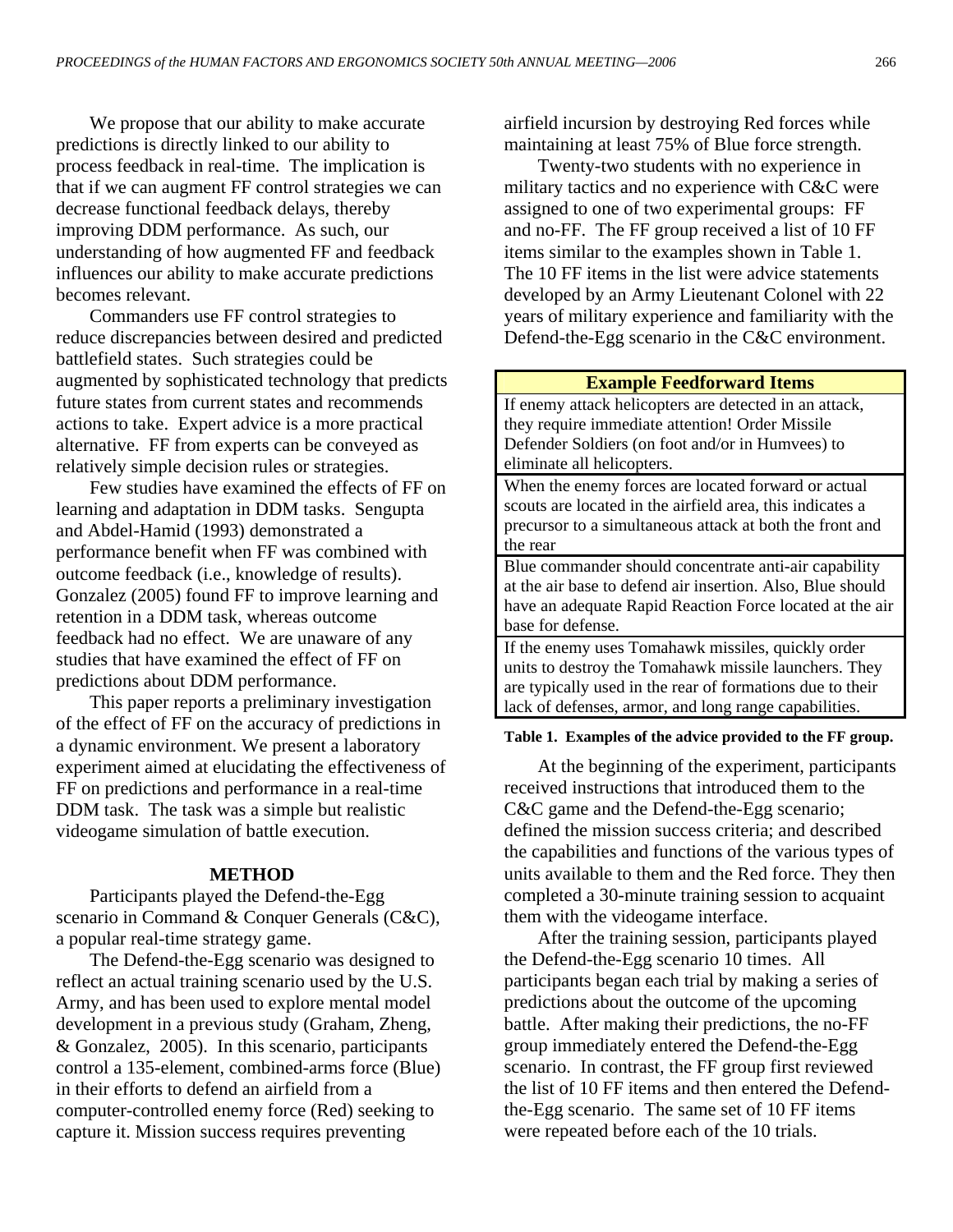We propose that our ability to make accurate predictions is directly linked to our ability to process feedback in real-time. The implication is that if we can augment FF control strategies we can decrease functional feedback delays, thereby improving DDM performance. As such, our understanding of how augmented FF and feedback influences our ability to make accurate predictions becomes relevant.

Commanders use FF control strategies to reduce discrepancies between desired and predicted battlefield states. Such strategies could be augmented by sophisticated technology that predicts future states from current states and recommends actions to take. Expert advice is a more practical alternative. FF from experts can be conveyed as relatively simple decision rules or strategies.

Few studies have examined the effects of FF on learning and adaptation in DDM tasks. Sengupta and Abdel-Hamid (1993) demonstrated a performance benefit when FF was combined with outcome feedback (i.e., knowledge of results). Gonzalez (2005) found FF to improve learning and retention in a DDM task, whereas outcome feedback had no effect. We are unaware of any studies that have examined the effect of FF on predictions about DDM performance.

This paper reports a preliminary investigation of the effect of FF on the accuracy of predictions in a dynamic environment. We present a laboratory experiment aimed at elucidating the effectiveness of FF on predictions and performance in a real-time DDM task. The task was a simple but realistic videogame simulation of battle execution.

### **METHOD**

Participants played the Defend-the-Egg scenario in Command & Conquer Generals (C&C), a popular real-time strategy game.

The Defend-the-Egg scenario was designed to reflect an actual training scenario used by the U.S. Army, and has been used to explore mental model development in a previous study (Graham, Zheng, & Gonzalez, 2005). In this scenario, participants control a 135-element, combined-arms force (Blue) in their efforts to defend an airfield from a computer-controlled enemy force (Red) seeking to capture it. Mission success requires preventing

airfield incursion by destroying Red forces while maintaining at least 75% of Blue force strength.

Twenty-two students with no experience in military tactics and no experience with C&C were assigned to one of two experimental groups: FF and no-FF. The FF group received a list of 10 FF items similar to the examples shown in Table 1. The 10 FF items in the list were advice statements developed by an Army Lieutenant Colonel with 22 years of military experience and familiarity with the Defend-the-Egg scenario in the C&C environment.

# **Example Feedforward Items**

If enemy attack helicopters are detected in an attack, they require immediate attention! Order Missile Defender Soldiers (on foot and/or in Humvees) to eliminate all helicopters.

When the enemy forces are located forward or actual scouts are located in the airfield area, this indicates a precursor to a simultaneous attack at both the front and the rear

Blue commander should concentrate anti-air capability at the air base to defend air insertion. Also, Blue should have an adequate Rapid Reaction Force located at the air base for defense.

If the enemy uses Tomahawk missiles, quickly order units to destroy the Tomahawk missile launchers. They are typically used in the rear of formations due to their lack of defenses, armor, and long range capabilities.

### **Table 1. Examples of the advice provided to the FF group.**

At the beginning of the experiment, participants received instructions that introduced them to the C&C game and the Defend-the-Egg scenario; defined the mission success criteria; and described the capabilities and functions of the various types of units available to them and the Red force. They then completed a 30-minute training session to acquaint them with the videogame interface.

After the training session, participants played the Defend-the-Egg scenario 10 times. All participants began each trial by making a series of predictions about the outcome of the upcoming battle. After making their predictions, the no-FF group immediately entered the Defend-the-Egg scenario. In contrast, the FF group first reviewed the list of 10 FF items and then entered the Defendthe-Egg scenario. The same set of 10 FF items were repeated before each of the 10 trials.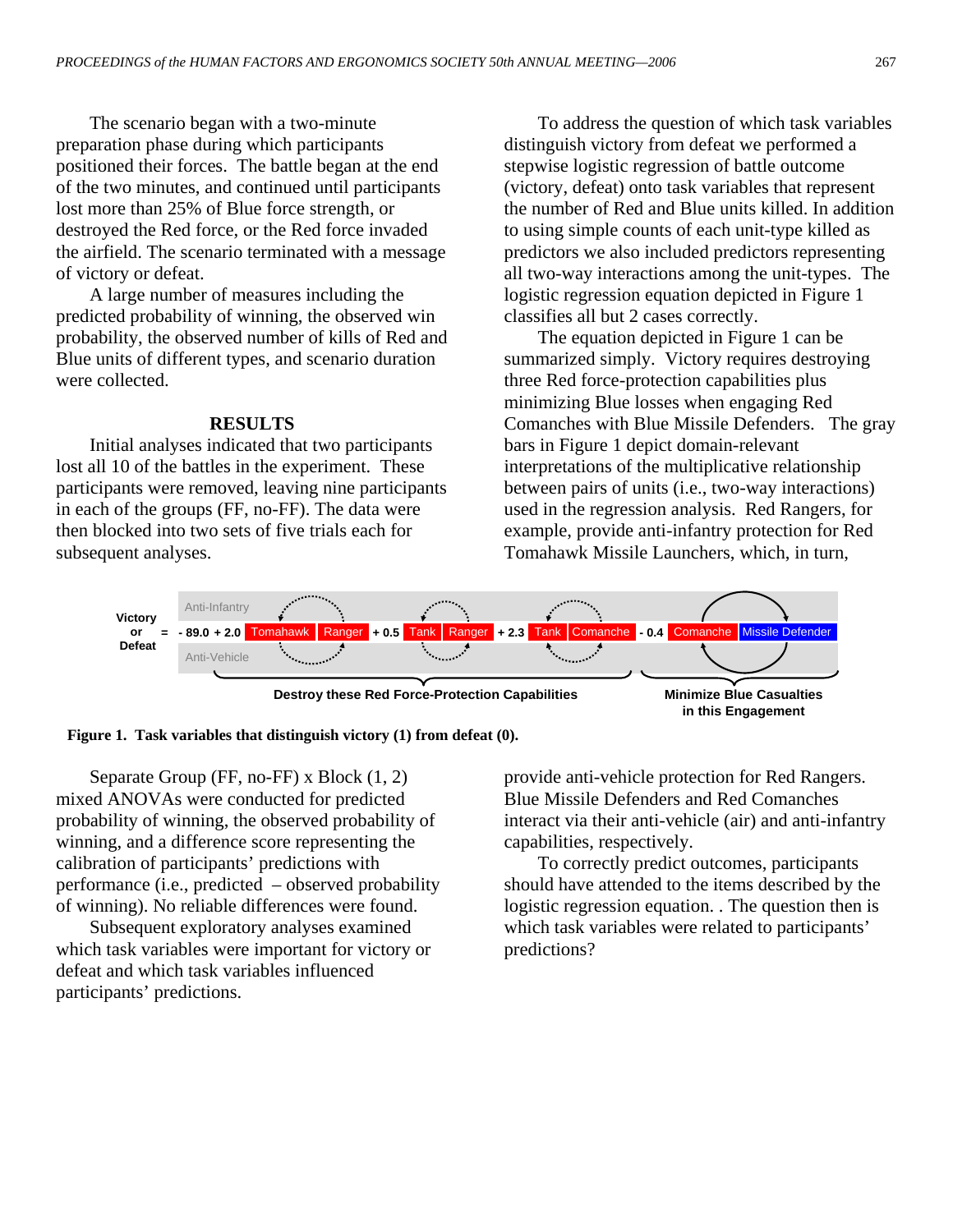The scenario began with a two-minute preparation phase during which participants positioned their forces. The battle began at the end of the two minutes, and continued until participants lost more than 25% of Blue force strength, or destroyed the Red force, or the Red force invaded the airfield. The scenario terminated with a message of victory or defeat.

A large number of measures including the predicted probability of winning, the observed win probability, the observed number of kills of Red and Blue units of different types, and scenario duration were collected.

#### **RESULTS**

Initial analyses indicated that two participants lost all 10 of the battles in the experiment. These participants were removed, leaving nine participants in each of the groups (FF, no-FF). The data were then blocked into two sets of five trials each for subsequent analyses.

To address the question of which task variables distinguish victory from defeat we performed a stepwise logistic regression of battle outcome (victory, defeat) onto task variables that represent the number of Red and Blue units killed. In addition to using simple counts of each unit-type killed as predictors we also included predictors representing all two-way interactions among the unit-types. The logistic regression equation depicted in Figure 1 classifies all but 2 cases correctly.

The equation depicted in Figure 1 can be summarized simply. Victory requires destroying three Red force-protection capabilities plus minimizing Blue losses when engaging Red Comanches with Blue Missile Defenders. The gray bars in Figure 1 depict domain-relevant interpretations of the multiplicative relationship between pairs of units (i.e., two-way interactions) used in the regression analysis. Red Rangers, for example, provide anti-infantry protection for Red Tomahawk Missile Launchers, which, in turn,



**Figure 1. Task variables that distinguish victory (1) from defeat (0).** 

Separate Group (FF, no-FF) x Block (1, 2) mixed ANOVAs were conducted for predicted probability of winning, the observed probability of winning, and a difference score representing the calibration of participants' predictions with performance (i.e., predicted – observed probability of winning). No reliable differences were found.

Subsequent exploratory analyses examined which task variables were important for victory or defeat and which task variables influenced participants' predictions.

provide anti-vehicle protection for Red Rangers. Blue Missile Defenders and Red Comanches interact via their anti-vehicle (air) and anti-infantry capabilities, respectively.

To correctly predict outcomes, participants should have attended to the items described by the logistic regression equation. . The question then is which task variables were related to participants' predictions?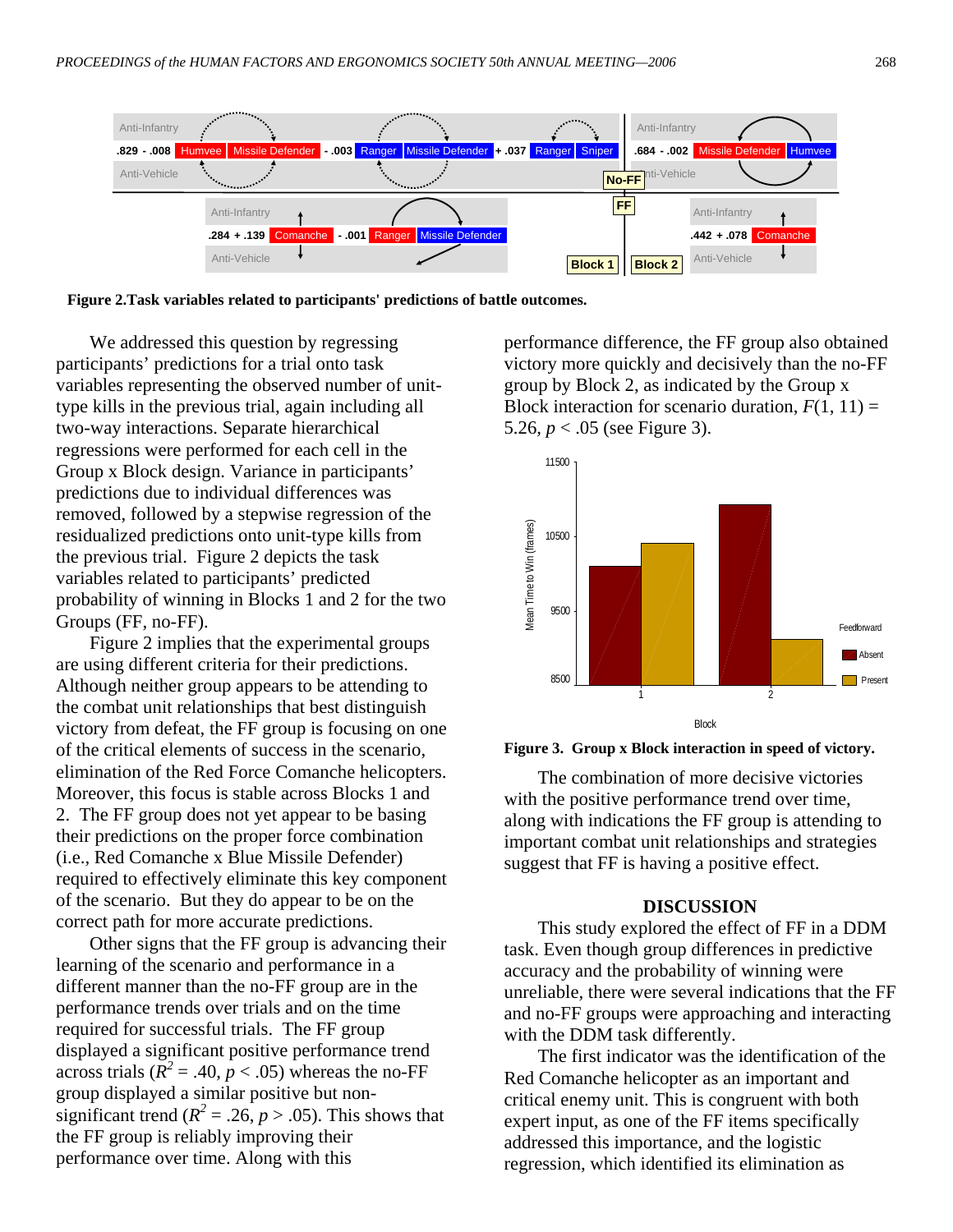

**Figure 2.Task variables related to participants' predictions of battle outcomes.** 

We addressed this question by regressing participants' predictions for a trial onto task variables representing the observed number of unittype kills in the previous trial, again including all two-way interactions. Separate hierarchical regressions were performed for each cell in the Group x Block design. Variance in participants' predictions due to individual differences was removed, followed by a stepwise regression of the residualized predictions onto unit-type kills from the previous trial. Figure 2 depicts the task variables related to participants' predicted probability of winning in Blocks 1 and 2 for the two Groups (FF, no-FF).

Figure 2 implies that the experimental groups are using different criteria for their predictions. Although neither group appears to be attending to the combat unit relationships that best distinguish victory from defeat, the FF group is focusing on one of the critical elements of success in the scenario, elimination of the Red Force Comanche helicopters. Moreover, this focus is stable across Blocks 1 and 2. The FF group does not yet appear to be basing their predictions on the proper force combination (i.e., Red Comanche x Blue Missile Defender) required to effectively eliminate this key component of the scenario. But they do appear to be on the correct path for more accurate predictions.

Other signs that the FF group is advancing their learning of the scenario and performance in a different manner than the no-FF group are in the performance trends over trials and on the time required for successful trials. The FF group displayed a significant positive performance trend across trials ( $\overline{R}^2 = .40$ ,  $\overline{p} < .05$ ) whereas the no-FF group displayed a similar positive but nonsignificant trend  $(R^2 = .26, p > .05)$ . This shows that the FF group is reliably improving their performance over time. Along with this

performance difference, the FF group also obtained victory more quickly and decisively than the no-FF group by Block 2, as indicated by the Group x Block interaction for scenario duration,  $F(1, 11) =$ 5.26*, p* < .05 (see Figure 3).





The combination of more decisive victories with the positive performance trend over time, along with indications the FF group is attending to important combat unit relationships and strategies suggest that FF is having a positive effect.

#### **DISCUSSION**

This study explored the effect of FF in a DDM task. Even though group differences in predictive accuracy and the probability of winning were unreliable, there were several indications that the FF and no-FF groups were approaching and interacting with the DDM task differently.

The first indicator was the identification of the Red Comanche helicopter as an important and critical enemy unit. This is congruent with both expert input, as one of the FF items specifically addressed this importance, and the logistic regression, which identified its elimination as